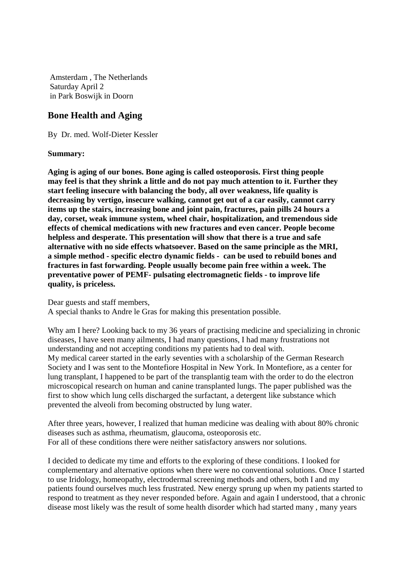Amsterdam , The Netherlands Saturday April 2 in Park Boswijk in Doorn

## **Bone Health and Aging**

By Dr. med. Wolf-Dieter Kessler

**Summary:** 

**Aging is aging of our bones. Bone aging is called osteoporosis. First thing people may feel is that they shrink a little and do not pay much attention to it. Further they start feeling insecure with balancing the body, all over weakness, life quality is decreasing by vertigo, insecure walking, cannot get out of a car easily, cannot carry items up the stairs, increasing bone and joint pain, fractures, pain pills 24 hours a day, corset, weak immune system, wheel chair, hospitalization, and tremendous side effects of chemical medications with new fractures and even cancer. People become helpless and desperate. This presentation will show that there is a true and safe alternative with no side effects whatsoever. Based on the same principle as the MRI, a simple method - specific electro dynamic fields - can be used to rebuild bones and fractures in fast forwarding. People usually become pain free within a week. The preventative power of PEMF- pulsating electromagnetic fields - to improve life quality, is priceless.** 

Dear guests and staff members,

A special thanks to Andre le Gras for making this presentation possible.

Why am I here? Looking back to my 36 years of practising medicine and specializing in chronic diseases, I have seen many ailments, I had many questions, I had many frustrations not understanding and not accepting conditions my patients had to deal with. My medical career started in the early seventies with a scholarship of the German Research Society and I was sent to the Montefiore Hospital in New York. In Montefiore, as a center for lung transplant, I happened to be part of the transplantig team with the order to do the electron microscopical research on human and canine transplanted lungs. The paper published was the first to show which lung cells discharged the surfactant, a detergent like substance which prevented the alveoli from becoming obstructed by lung water.

After three years, however, I realized that human medicine was dealing with about 80% chronic diseases such as asthma, rheumatism, glaucoma, osteoporosis etc. For all of these conditions there were neither satisfactory answers nor solutions.

I decided to dedicate my time and efforts to the exploring of these conditions. I looked for complementary and alternative options when there were no conventional solutions. Once I started to use Iridology, homeopathy, electrodermal screening methods and others, both I and my patients found ourselves much less frustrated. New energy sprung up when my patients started to respond to treatment as they never responded before. Again and again I understood, that a chronic disease most likely was the result of some health disorder which had started many , many years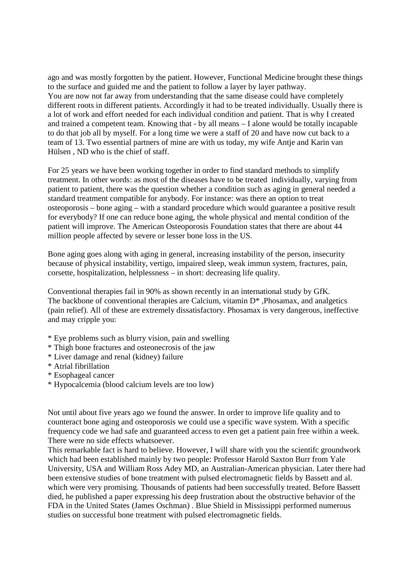ago and was mostly forgotten by the patient. However, Functional Medicine brought these things to the surface and guided me and the patient to follow a layer by layer pathway. You are now not far away from understanding that the same disease could have completely different roots in different patients. Accordingly it had to be treated individually. Usually there is a lot of work and effort needed for each individual condition and patient. That is why I created and trained a competent team. Knowing that - by all means – I alone would be totally incapable to do that job all by myself. For a long time we were a staff of 20 and have now cut back to a team of 13. Two essential partners of mine are with us today, my wife Antje and Karin van Hülsen , ND who is the chief of staff.

For 25 years we have been working together in order to find standard methods to simplify treatment. In other words: as most of the diseases have to be treated individually, varying from patient to patient, there was the question whether a condition such as aging in general needed a standard treatment compatible for anybody. For instance: was there an option to treat osteoporosis – bone aging – with a standard procedure which would guarantee a positive result for everybody? If one can reduce bone aging, the whole physical and mental condition of the patient will improve. The American Osteoporosis Foundation states that there are about 44 million people affected by severe or lesser bone loss in the US.

Bone aging goes along with aging in general, increasing instability of the person, insecurity because of physical instability, vertigo, impaired sleep, weak immun system, fractures, pain, corsette, hospitalization, helplessness – in short: decreasing life quality.

Conventional therapies fail in 90% as shown recently in an international study by GfK. The backbone of conventional therapies are Calcium, vitamin D\* ,Phosamax, and analgetics (pain relief). All of these are extremely dissatisfactory. Phosamax is very dangerous, ineffective and may cripple you:

- \* Eye problems such as blurry vision, pain and swelling
- \* Thigh bone fractures and osteonecrosis of the jaw
- \* Liver damage and renal (kidney) failure
- \* Atrial fibrillation
- \* Esophageal cancer
- \* Hypocalcemia (blood calcium levels are too low)

Not until about five years ago we found the answer. In order to improve life quality and to counteract bone aging and osteoporosis we could use a specific wave system. With a specific frequency code we had safe and guaranteed access to even get a patient pain free within a week. There were no side effects whatsoever.

This remarkable fact is hard to believe. However, I will share with you the scientifc groundwork which had been established mainly by two people: Professor Harold Saxton Burr from Yale University, USA and William Ross Adey MD, an Australian-American physician. Later there had been extensive studies of bone treatment with pulsed electromagnetic fields by Bassett and al. which were very promising. Thousands of patients had been successfully treated. Before Bassett died, he published a paper expressing his deep frustration about the obstructive behavior of the FDA in the United States (James Oschman) . Blue Shield in Mississippi performed numerous studies on successful bone treatment with pulsed electromagnetic fields.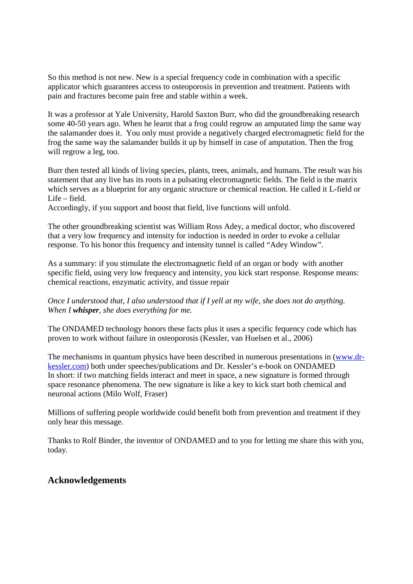So this method is not new. New is a special frequency code in combination with a specific applicator which guarantees access to osteoporosis in prevention and treatment. Patients with pain and fractures become pain free and stable within a week.

It was a professor at Yale University, Harold Saxton Burr, who did the groundbreaking research some 40-50 years ago. When he learnt that a frog could regrow an amputated limp the same way the salamander does it. You only must provide a negatively charged electromagnetic field for the frog the same way the salamander builds it up by himself in case of amputation. Then the frog will regrow a leg, too.

Burr then tested all kinds of living species, plants, trees, animals, and humans. The result was his statement that any live has its roots in a pulsating electromagnetic fields. The field is the matrix which serves as a blueprint for any organic structure or chemical reaction. He called it L-field or Life – field.

Accordingly, if you support and boost that field, live functions will unfold.

The other groundbreaking scientist was William Ross Adey, a medical doctor, who discovered that a very low frequency and intensity for induction is needed in order to evoke a cellular response. To his honor this frequency and intensity tunnel is called "Adey Window".

As a summary: if you stimulate the electromagnetic field of an organ or body with another specific field, using very low frequency and intensity, you kick start response. Response means: chemical reactions, enzymatic activity, and tissue repair

*Once I understood that, I also understood that if I yell at my wife, she does not do anything. When I whisper, she does everything for me.* 

The ONDAMED technology honors these facts plus it uses a specific fequency code which has proven to work without failure in osteoporosis (Kessler, van Huelsen et al., 2006)

The mechanisms in quantum physics have been described in numerous presentations in (www.drkessler.com) both under speeches/publications and Dr. Kessler's e-book on ONDAMED In short: if two matching fields interact and meet in space, a new signature is formed through space resonance phenomena. The new signature is like a key to kick start both chemical and neuronal actions (Milo Wolf, Fraser)

Millions of suffering people worldwide could benefit both from prevention and treatment if they only hear this message.

Thanks to Rolf Binder, the inventor of ONDAMED and to you for letting me share this with you, today.

## **Acknowledgements**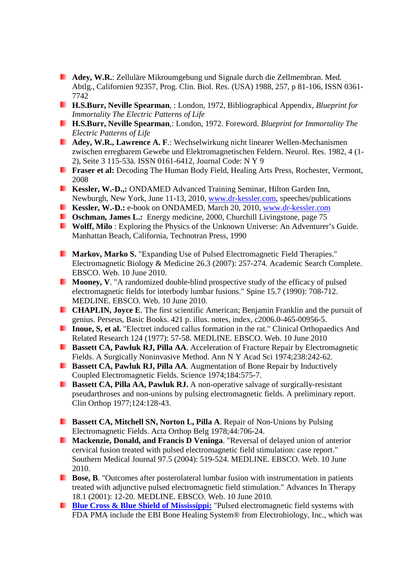- **Adey, W.R.**: Zelluläre Mikroumgebung und Signale durch die Zellmembran. Med. Abtlg., Californien 92357, Prog. Clin. Biol. Res. (USA) 1988, 257, p 81-106, ISSN 0361- 7742
- **H.S.Burr, Neville Spearman**, : London, 1972, Bibliographical Appendix, *Blueprint for Immortality The Electric Patterns of Life*
- **H.S.Burr, Neville Spearman**,: London, 1972. Foreword. *Blueprint for Immortality The Electric Patterns of Life*
- **Adey, W.R., Lawrence A. F.:** Wechselwirkung nicht linearer Wellen-Mechanismen zwischen erregbarem Gewebe und Elektromagnetischen Feldern. Neurol. Res. 1982, 4 (1- 2), Seite 3 115-53ä. ISSN 0161-6412, Journal Code: N Y 9
- **Fraser et al:** Decoding The Human Body Field, Healing Arts Press, Rochester, Vermont, 2008
- **Kessler, W.-D.,:** ONDAMED Advanced Training Seminar, Hilton Garden Inn, Newburgh, New York, June 11-13, 2010, www.dr-kessler.com, speeches/publications
- **Kessler, W.-D.:** e-book on ONDAMED, March 20, 2010, www.dr-kessler.com
- **Coschman, James L.:** Energy medicine, 2000, Churchill Livingstone, page 75
- **Wolff, Milo**: Exploring the Physics of the Unknown Universe: An Adventurer's Guide. Manhattan Beach, California, Technotran Press, 1990
- **Markov, Marko S.** "Expanding Use of Pulsed Electromagnetic Field Therapies." Electromagnetic Biology & Medicine 26.3 (2007): 257-274. Academic Search Complete. EBSCO. Web. 10 June 2010.
- **Mooney, V**. "A randomized double-blind prospective study of the efficacy of pulsed electromagnetic fields for interbody lumbar fusions." Spine 15.7 (1990): 708-712. MEDLINE. EBSCO. Web. 10 June 2010.
- **CHAPLIN, Joyce E.** The first scientific American; Benjamin Franklin and the pursuit of genius. Perseus, Basic Books. 421 p. illus. notes, index, c2006.0-465-00956-5.
- **Inoue, S, et al.** "Electret induced callus formation in the rat." Clinical Orthopaedics And Related Research 124 (1977): 57-58. MEDLINE. EBSCO. Web. 10 June 2010
- **Bassett CA, Pawluk RJ, Pilla AA**. Acceleration of Fracture Repair by Electromagnetic Fields. A Surgically Noninvasive Method. Ann N Y Acad Sci 1974;238:242-62.
- **Bassett CA, Pawluk RJ, Pilla AA**. Augmentation of Bone Repair by Inductively H Coupled Electromagnetic Fields. Science 1974;184:575-7.
- **Bassett CA, Pilla AA, Pawluk RJ.** A non-operative salvage of surgically-resistant pseudarthroses and non-unions by pulsing electromagnetic fields. A preliminary report. Clin Orthop 1977;124:128-43.
- **Bassett CA, Mitchell SN, Norton L, Pilla A**. Repair of Non-Unions by Pulsing Electromagnetic Fields. Acta Orthop Belg 1978;44:706-24.
- **Mackenzie, Donald, and Francis D Veninga**. "Reversal of delayed union of anterior cervical fusion treated with pulsed electromagnetic field stimulation: case report." Southern Medical Journal 97.5 (2004): 519-524. MEDLINE. EBSCO. Web. 10 June 2010.
- **Bose, B.** "Outcomes after posterolateral lumbar fusion with instrumentation in patients treated with adjunctive pulsed electromagnetic field stimulation." Advances In Therapy 18.1 (2001): 12-20. MEDLINE. EBSCO. Web. 10 June 2010.
- **Blue Cross & Blue Shield of Mississippi:** "Pulsed electromagnetic field systems with FDA PMA include the EBI Bone Healing System® from Electrobiology, Inc., which was